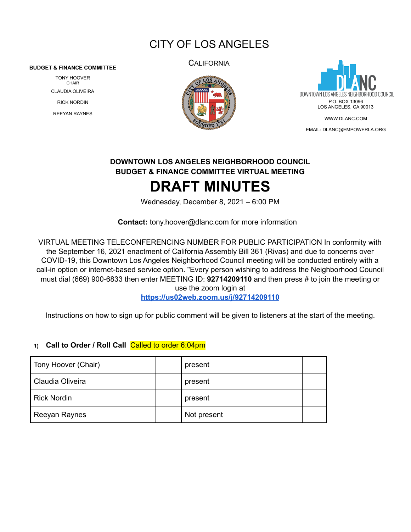# CITY OF LOS ANGELES

#### **BUDGET & FINANCE COMMITTEE**

TONY HOOVER CHAIR CLAUDIA OLIVEIRA RICK NORDIN REEYAN RAYNES

**CALIFORNIA** 





EMAIL: [DLANC@EMPOWERLA.ORG](mailto:DLANC@EMPOWERLA.ORG)

## **DOWNTOWN LOS ANGELES NEIGHBORHOOD COUNCIL BUDGET & FINANCE COMMITTEE VIRTUAL MEETING DRAFT MINUTES**

Wednesday, December 8, 2021 – 6:00 PM

**Contact:** [tony.hoover@dlanc.com](mailto:tony.hooveri@dlanc.com) for more information

VIRTUAL MEETING TELECONFERENCING NUMBER FOR PUBLIC PARTICIPATION In conformity with the September 16, 2021 enactment of California Assembly Bill 361 (Rivas) and due to concerns over COVID-19, this Downtown Los Angeles Neighborhood Council meeting will be conducted entirely with a call-in option or internet-based service option. "Every person wishing to address the Neighborhood Council must dial (669) 900-6833 then enter MEETING ID: **92714209110** and then press # to join the meeting or use the zoom login at

**<https://us02web.zoom.us/j/92714209110>**

Instructions on how to sign up for public comment will be given to listeners at the start of the meeting.

#### **1) Call to Order / Roll Call** Called to order 6:04pm

| Tony Hoover (Chair) | present     |  |
|---------------------|-------------|--|
| Claudia Oliveira    | present     |  |
| Rick Nordin         | present     |  |
| Reeyan Raynes       | Not present |  |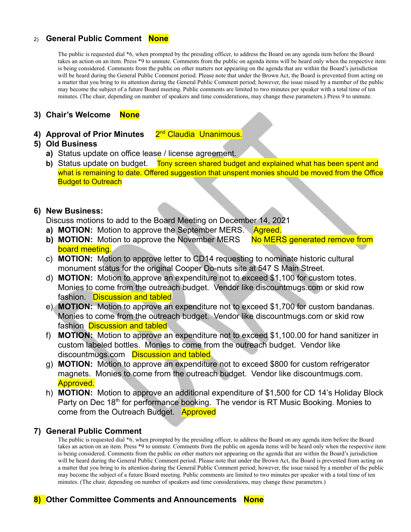#### 2) **General Public Comment None**

The public is requested dial \*6, when prompted by the presiding officer, to address the Board on any agenda item before the Board takes an action on an item. Press \*9 to unmute. Comments from the public on agenda items will be heard only when the respective item is being considered. Comments from the public on other matters not appearing on the agenda that are within the Board's jurisdiction will be heard during the General Public Comment period. Please note that under the Brown Act, the Board is prevented from acting on a matter that you bring to its attention during the General Public Comment period; however, the issue raised by a member of the public may become the subject of a future Board meeting. Public comments are limited to two minutes per speaker with a total time of ten minutes. (The chair, depending on number of speakers and time considerations, may change these parameters.) Press 9 to unmute.

#### **3) Chair's Welcome None**

**4) Approval of Prior Minutes** 2 2<sup>nd</sup> Claudia Unanimous.

#### **5) Old Business**

- **a)** Status update on office lease / license agreement.
- **b)** Status update on budget. Tony screen shared budget and explained what has been spent and what is remaining to date. Offered suggestion that unspent monies should be moved from the Office **Budget to Outreach**

#### **6) New Business:**

Discuss motions to add to the Board Meeting on December 14, 2021

- **a) MOTION:** Motion to approve the September MERS. Agreed.
- **b) MOTION:** Motion to approve the November MERS No MERS generated remove from board meeting.
- c) **MOTION:** Motion to approve letter to CD14 requesting to nominate historic cultural monument status for the original Cooper Do-nuts site at 547 S Main Street.
- d) **MOTION:** Motion to approve an expenditure not to exceed \$1,100 for custom totes. Monies to come from the outreach budget. Vendor like discountmugs.com or skid row fashion. Discussion and tabled
- e) **MOTION:** Motion to approve an expenditure not to exceed \$1,700 for custom bandanas. Monies to come from the outreach budget. Vendor like discountmugs.com or skid row fashion **Discussion and tabled**
- f) **MOTION:** Motion to approve an expenditure not to exceed \$1,100.00 for hand sanitizer in custom labeled bottles. Monies to come from the outreach budget. Vendor like discountmugs.com Discussion and tabled
- g) **MOTION:** Motion to approve an expenditure not to exceed \$800 for custom refrigerator magnets. Monies to come from the outreach budget. Vendor like discountmugs.com. Approved.
- h) **MOTION:** Motion to approve an additional expenditure of \$1,500 for CD 14's Holiday Block Party on Dec 18<sup>th</sup> for performance booking. The vendor is RT Music Booking. Monies to come from the Outreach Budget. Approved

#### **7) General Public Comment**

The public is requested dial \*6, when prompted by the presiding officer, to address the Board on any agenda item before the Board takes an action on an item. Press \*9 to unmute. Comments from the public on agenda items will be heard only when the respective item is being considered. Comments from the public on other matters not appearing on the agenda that are within the Board's jurisdiction will be heard during the General Public Comment period. Please note that under the Brown Act, the Board is prevented from acting on a matter that you bring to its attention during the General Public Comment period; however, the issue raised by a member of the public may become the subject of a future Board meeting. Public comments are limited to two minutes per speaker with a total time of ten minutes. (The chair, depending on number of speakers and time considerations, may change these parameters.)

### **8) Other Committee Comments and Announcements None**